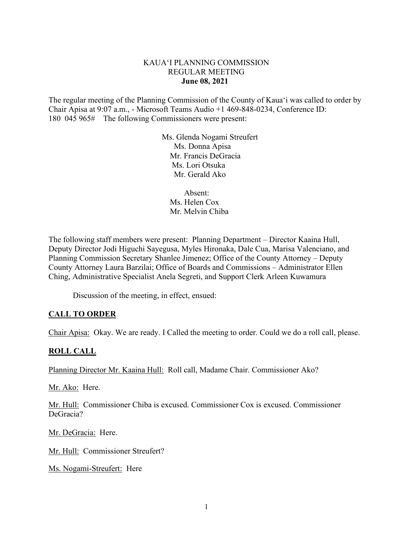### KAUA'I PLANNING COMMISSION REGULAR MEETING **June 08, 2021**

The regular meeting of the Planning Commission of the County of Kaua'i was called to order by Chair Apisa at 9:07 a.m., - Microsoft Teams Audio +1 469-848-0234, Conference ID: 180 045 965# The following Commissioners were present:

> Ms. Glenda Nogami Streufert Ms. Donna Apisa Mr. Francis DeGracia Ms. Lori OtsukaMr. Gerald Ako

 Absent: Ms. Helen Cox Mr. Melvin Chiba

The following staff members were present: Planning Department – Director Kaaina Hull, Deputy Director Jodi Higuchi Sayegusa, Myles Hironaka, Dale Cua, Marisa Valenciano, and Planning Commission Secretary Shanlee Jimenez; Office of the County Attorney – Deputy County Attorney Laura Barzilai; Office of Boards and Commissions – Administrator Ellen Ching, Administrative Specialist Anela Segreti, and Support Clerk Arleen Kuwamura

Discussion of the meeting, in effect, ensued:

# **CALL TO ORDER**

Chair Apisa: Okay. We are ready. I Called the meeting to order. Could we do a roll call, please.

#### **ROLL CALL**

Planning Director Mr. Kaaina Hull: Roll call, Madame Chair. Commissioner Ako?

Mr. Ako: Here.

Mr. Hull: Commissioner Chiba is excused. Commissioner Cox is excused. Commissioner DeGracia?

Mr. DeGracia: Here.

Mr. Hull: Commissioner Streufert?

Ms. Nogami-Streufert: Here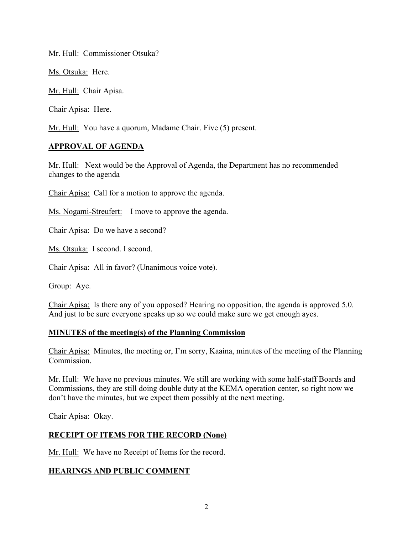Mr. Hull: Commissioner Otsuka?

Ms. Otsuka: Here.

Mr. Hull: Chair Apisa.

Chair Apisa: Here.

Mr. Hull: You have a quorum, Madame Chair. Five (5) present.

### **APPROVAL OF AGENDA**

Mr. Hull: Next would be the Approval of Agenda, the Department has no recommended changes to the agenda

Chair Apisa: Call for a motion to approve the agenda.

Ms. Nogami-Streufert: I move to approve the agenda.

Chair Apisa: Do we have a second?

Ms. Otsuka: I second. I second.

Chair Apisa: All in favor? (Unanimous voice vote).

Group: Aye.

Chair Apisa: Is there any of you opposed? Hearing no opposition, the agenda is approved 5.0. And just to be sure everyone speaks up so we could make sure we get enough ayes.

#### **MINUTES of the meeting(s) of the Planning Commission**

Chair Apisa: Minutes, the meeting or, I'm sorry, Kaaina, minutes of the meeting of the Planning Commission.

Mr. Hull: We have no previous minutes. We still are working with some half-staff Boards and Commissions, they are still doing double duty at the KEMA operation center, so right now we don't have the minutes, but we expect them possibly at the next meeting.

Chair Apisa: Okay.

# **RECEIPT OF ITEMS FOR THE RECORD (None)**

Mr. Hull: We have no Receipt of Items for the record.

# **HEARINGS AND PUBLIC COMMENT**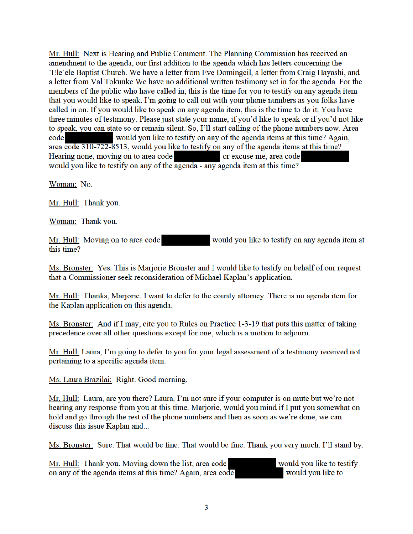Mr. Hull: Next is Hearing and Public Comment. The Planning Commission has received an amendment to the agenda, our first addition to the agenda which has letters concerning the 'Ele'ele Baptist Church. We have a letter from Eve Domingcil, a letter from Craig Hayashi, and a letter from Val Tokuuke We have no additional written testimony set in for the agenda. For the members of the public who have called in, this is the time for you to testify on any agenda item that you would like to speak. I'm going to call out with your phone numbers as you folks have called in on. If you would like to speak on any agenda item, this is the time to do it. You have three minutes of testimony. Please just state your name, if you'd like to speak or if you'd not like to speak, you can state so or remain silent. So, I'll start calling of the phone numbers now. Area code would you like to testify on any of the agenda items at this time? Again, area code 310-722-8513, would you like to testify on any of the agenda items at this time? Hearing none, moving on to area code or excuse me, area code would you like to testify on any of the agenda - any agenda item at this time?

Woman: No.

Mr. Hull: Thank you.

Woman: Thank you.

would you like to testify on any agenda item at Mr. Hull: Moving on to area code this time?

Ms. Bronster: Yes. This is Marjorie Bronster and I would like to testify on behalf of our request that a Commissioner seek reconsideration of Michael Kaplan's application.

Mr. Hull: Thanks, Marjorie. I want to defer to the county attorney. There is no agenda item for the Kaplan application on this agenda.

Ms. Bronster: And if I may, cite you to Rules on Practice 1-3-19 that puts this matter of taking precedence over all other questions except for one, which is a motion to adjourn.

Mr. Hull: Laura, I'm going to defer to you for your legal assessment of a testimony received not pertaining to a specific agenda item.

Ms. Laura Brazilai: Right. Good morning.

Mr. Hull: Laura, are you there? Laura, I'm not sure if your computer is on mute but we're not hearing any response from you at this time. Marjorie, would you mind if I put you somewhat on hold and go through the rest of the phone numbers and then as soon as we're done, we can discuss this issue Kaplan and...

Ms. Bronster: Sure. That would be fine. That would be fine. Thank you very much. I'll stand by.

Mr. Hull: Thank you. Moving down the list, area code on any of the agenda items at this time? Again, area code

would you like to testify would you like to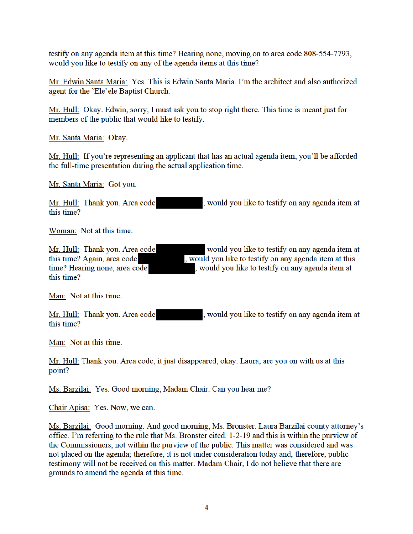testify on any agenda item at this time? Hearing none, moving on to area code 808-554-7793, would you like to testify on any of the agenda items at this time?

Mr. Edwin Santa Maria: Yes. This is Edwin Santa Maria. I'm the architect and also authorized agent for the 'Ele'ele Baptist Church.

Mr. Hull: Okay. Edwin, sorry, I must ask you to stop right there. This time is meant just for members of the public that would like to testify.

Mr. Santa Maria: Okay.

Mr. Hull: If you're representing an applicant that has an actual agenda item, you'll be afforded the full-time presentation during the actual application time.

Mr. Santa Maria: Got you.

Mr. Hull: Thank you. Area code , would you like to testify on any agenda item at this time?

Woman: Not at this time.

Mr. Hull: Thank you. Area code this time? Again, area code time? Hearing none, area code this time?

would you like to testify on any agenda item at , would you like to testify on any agenda item at this , would you like to testify on any agenda item at

Man: Not at this time.

Mr. Hull: Thank you. Area code , would you like to testify on any agenda item at this time?

Man: Not at this time.

Mr. Hull: Thank you. Area code, it just disappeared, okay. Laura, are you on with us at this point?

Ms. Barzilai: Yes. Good morning, Madam Chair. Can you hear me?

Chair Apisa: Yes. Now, we can.

Ms. Barzilai: Good morning. And good morning, Ms. Bronster. Laura Barzilai county attorney's office. I'm referring to the rule that Ms. Bronster cited, 1-2-19 and this is within the purview of the Commissioners, not within the purview of the public. This matter was considered and was not placed on the agenda; therefore, it is not under consideration today and, therefore, public testimony will not be received on this matter. Madam Chair, I do not believe that there are grounds to amend the agenda at this time.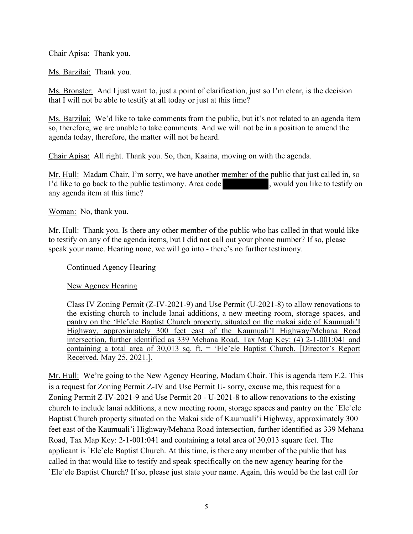Chair Apisa: Thank you.

Ms. Barzilai: Thank you.

Ms. Bronster: And I just want to, just a point of clarification, just so I'm clear, is the decision that I will not be able to testify at all today or just at this time?

Ms. Barzilai: We'd like to take comments from the public, but it's not related to an agenda item so, therefore, we are unable to take comments. And we will not be in a position to amend the agenda today, therefore, the matter will not be heard.

Chair Apisa: All right. Thank you. So, then, Kaaina, moving on with the agenda.

Mr. Hull: Madam Chair, I'm sorry, we have another member of the public that just called in, so I'd like to go back to the public testimony. Area code , would you like to testify on any agenda item at this time?

Woman: No, thank you.

Mr. Hull: Thank you. Is there any other member of the public who has called in that would like to testify on any of the agenda items, but I did not call out your phone number? If so, please speak your name. Hearing none, we will go into - there's no further testimony.

Continued Agency Hearing

New Agency Hearing

Class IV Zoning Permit (Z-IV-2021-9) and Use Permit (U-2021-8) to allow renovations to the existing church to include lanai additions, a new meeting room, storage spaces, and pantry on the 'Ele'ele Baptist Church property, situated on the makai side of Kaumuali'I Highway, approximately 300 feet east of the Kaumuali'I Highway/Mehana Road intersection, further identified as 339 Mehana Road, Tax Map Key: (4) 2-1-001:041 and containing a total area of 30,013 sq. ft. = 'Ele'ele Baptist Church. [Director's Report Received, May 25, 2021.].

Mr. Hull: We're going to the New Agency Hearing, Madam Chair. This is agenda item F.2. This is a request for Zoning Permit Z-IV and Use Permit U- sorry, excuse me, this request for a Zoning Permit Z-IV-2021-9 and Use Permit 20 - U-2021-8 to allow renovations to the existing church to include lanai additions, a new meeting room, storage spaces and pantry on the `Ele`ele Baptist Church property situated on the Makai side of Kaumuali'i Highway, approximately 300 feet east of the Kaumuali'i Highway/Mehana Road intersection, further identified as 339 Mehana Road, Tax Map Key: 2-1-001:041 and containing a total area of 30,013 square feet. The applicant is `Ele`ele Baptist Church. At this time, is there any member of the public that has called in that would like to testify and speak specifically on the new agency hearing for the `Ele`ele Baptist Church? If so, please just state your name. Again, this would be the last call for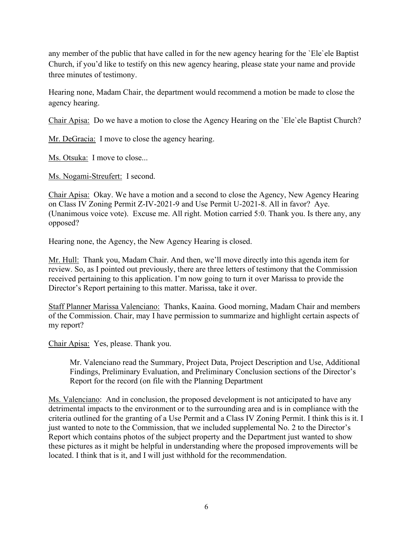any member of the public that have called in for the new agency hearing for the 'Ele' ele Baptist Church, if you'd like to testify on this new agency hearing, please state your name and provide three minutes of testimony.

Hearing none, Madam Chair, the department would recommend a motion be made to close the agency hearing.

Chair Apisa: Do we have a motion to close the Agency Hearing on the `Ele`ele Baptist Church?

Mr. DeGracia: I move to close the agency hearing.

Ms. Otsuka: I move to close...

Ms. Nogami-Streufert: I second.

Chair Apisa: Okay. We have a motion and a second to close the Agency, New Agency Hearing on Class IV Zoning Permit Z-IV-2021-9 and Use Permit U-2021-8. All in favor? Aye. (Unanimous voice vote). Excuse me. All right. Motion carried 5:0. Thank you. Is there any, any opposed?

Hearing none, the Agency, the New Agency Hearing is closed.

Mr. Hull: Thank you, Madam Chair. And then, we'll move directly into this agenda item for review. So, as I pointed out previously, there are three letters of testimony that the Commission received pertaining to this application. I'm now going to turn it over Marissa to provide the Director's Report pertaining to this matter. Marissa, take it over.

Staff Planner Marissa Valenciano: Thanks, Kaaina. Good morning, Madam Chair and members of the Commission. Chair, may I have permission to summarize and highlight certain aspects of my report?

Chair Apisa: Yes, please. Thank you.

Mr. Valenciano read the Summary, Project Data, Project Description and Use, Additional Findings, Preliminary Evaluation, and Preliminary Conclusion sections of the Director's Report for the record (on file with the Planning Department

Ms. Valenciano: And in conclusion, the proposed development is not anticipated to have any detrimental impacts to the environment or to the surrounding area and is in compliance with the criteria outlined for the granting of a Use Permit and a Class IV Zoning Permit. I think this is it. I just wanted to note to the Commission, that we included supplemental No. 2 to the Director's Report which contains photos of the subject property and the Department just wanted to show these pictures as it might be helpful in understanding where the proposed improvements will be located. I think that is it, and I will just withhold for the recommendation.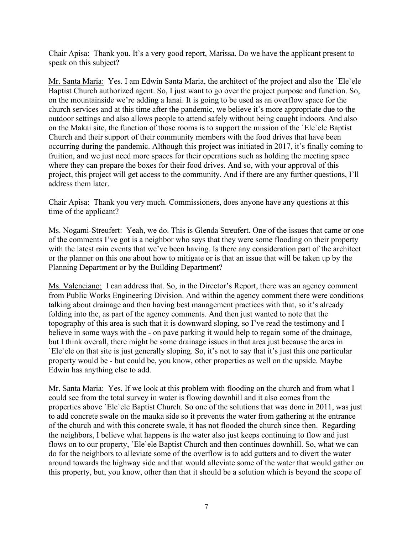Chair Apisa: Thank you. It's a very good report, Marissa. Do we have the applicant present to speak on this subject?

Mr. Santa Maria: Yes. I am Edwin Santa Maria, the architect of the project and also the `Ele`ele Baptist Church authorized agent. So, I just want to go over the project purpose and function. So, on the mountainside we're adding a lanai. It is going to be used as an overflow space for the church services and at this time after the pandemic, we believe it's more appropriate due to the outdoor settings and also allows people to attend safely without being caught indoors. And also on the Makai site, the function of those rooms is to support the mission of the `Ele`ele Baptist Church and their support of their community members with the food drives that have been occurring during the pandemic. Although this project was initiated in 2017, it's finally coming to fruition, and we just need more spaces for their operations such as holding the meeting space where they can prepare the boxes for their food drives. And so, with your approval of this project, this project will get access to the community. And if there are any further questions, I'll address them later.

Chair Apisa: Thank you very much. Commissioners, does anyone have any questions at this time of the applicant?

Ms. Nogami-Streufert: Yeah, we do. This is Glenda Streufert. One of the issues that came or one of the comments I've got is a neighbor who says that they were some flooding on their property with the latest rain events that we've been having. Is there any consideration part of the architect or the planner on this one about how to mitigate or is that an issue that will be taken up by the Planning Department or by the Building Department?

Ms. Valenciano: I can address that. So, in the Director's Report, there was an agency comment from Public Works Engineering Division. And within the agency comment there were conditions talking about drainage and then having best management practices with that, so it's already folding into the, as part of the agency comments. And then just wanted to note that the topography of this area is such that it is downward sloping, so I've read the testimony and I believe in some ways with the - on pave parking it would help to regain some of the drainage, but I think overall, there might be some drainage issues in that area just because the area in `Ele`ele on that site is just generally sloping. So, it's not to say that it's just this one particular property would be - but could be, you know, other properties as well on the upside. Maybe Edwin has anything else to add.

Mr. Santa Maria: Yes. If we look at this problem with flooding on the church and from what I could see from the total survey in water is flowing downhill and it also comes from the properties above `Ele`ele Baptist Church. So one of the solutions that was done in 2011, was just to add concrete swale on the mauka side so it prevents the water from gathering at the entrance of the church and with this concrete swale, it has not flooded the church since then. Regarding the neighbors, I believe what happens is the water also just keeps continuing to flow and just flows on to our property, `Ele`ele Baptist Church and then continues downhill. So, what we can do for the neighbors to alleviate some of the overflow is to add gutters and to divert the water around towards the highway side and that would alleviate some of the water that would gather on this property, but, you know, other than that it should be a solution which is beyond the scope of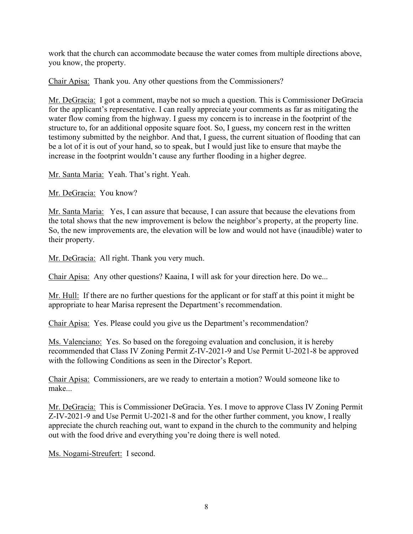work that the church can accommodate because the water comes from multiple directions above, you know, the property.

Chair Apisa: Thank you. Any other questions from the Commissioners?

Mr. DeGracia: I got a comment, maybe not so much a question. This is Commissioner DeGracia for the applicant's representative. I can really appreciate your comments as far as mitigating the water flow coming from the highway. I guess my concern is to increase in the footprint of the structure to, for an additional opposite square foot. So, I guess, my concern rest in the written testimony submitted by the neighbor. And that, I guess, the current situation of flooding that can be a lot of it is out of your hand, so to speak, but I would just like to ensure that maybe the increase in the footprint wouldn't cause any further flooding in a higher degree.

Mr. Santa Maria: Yeah. That's right. Yeah.

Mr. DeGracia: You know?

Mr. Santa Maria: Yes, I can assure that because, I can assure that because the elevations from the total shows that the new improvement is below the neighbor's property, at the property line. So, the new improvements are, the elevation will be low and would not have (inaudible) water to their property.

Mr. DeGracia: All right. Thank you very much.

Chair Apisa: Any other questions? Kaaina, I will ask for your direction here. Do we...

Mr. Hull: If there are no further questions for the applicant or for staff at this point it might be appropriate to hear Marisa represent the Department's recommendation.

Chair Apisa: Yes. Please could you give us the Department's recommendation?

Ms. Valenciano: Yes. So based on the foregoing evaluation and conclusion, it is hereby recommended that Class IV Zoning Permit Z-IV-2021-9 and Use Permit U-2021-8 be approved with the following Conditions as seen in the Director's Report.

Chair Apisa: Commissioners, are we ready to entertain a motion? Would someone like to make...

Mr. DeGracia: This is Commissioner DeGracia. Yes. I move to approve Class IV Zoning Permit Z-IV-2021-9 and Use Permit U-2021-8 and for the other further comment, you know, I really appreciate the church reaching out, want to expand in the church to the community and helping out with the food drive and everything you're doing there is well noted.

Ms. Nogami-Streufert: I second.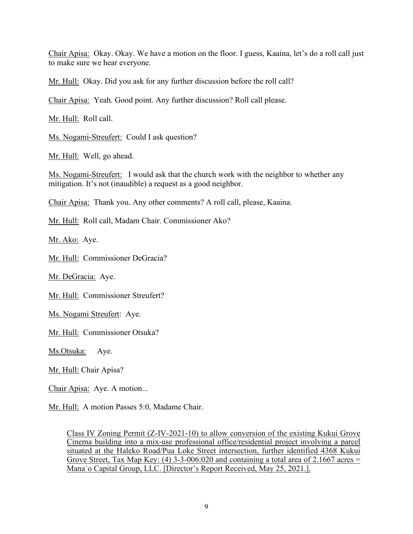Chair Apisa: Okay. Okay. We have a motion on the floor. I guess, Kaaina, let's do a roll call just to make sure we hear everyone.

Mr. Hull: Okay. Did you ask for any further discussion before the roll call?

Chair Apisa: Yeah. Good point. Any further discussion? Roll call please.

Mr. Hull: Roll call.

Ms. Nogami-Streufert: Could I ask question?

Mr. Hull: Well, go ahead.

Ms. Nogami-Streufert: I would ask that the church work with the neighbor to whether any mitigation. It's not (inaudible) a request as a good neighbor.

Chair Apisa: Thank you. Any other comments? A roll call, please, Kaaina.

Mr. Hull: Roll call, Madam Chair. Commissioner Ako?

Mr. Ako: Aye.

Mr. Hull: Commissioner DeGracia?

Mr. DeGracia: Aye.

Mr. Hull: Commissioner Streufert?

Ms. Nogami Streufert: Aye.

Mr. Hull: Commissioner Otsuka?

Ms.Otsuka: Aye.

Mr. Hull: Chair Apisa?

Chair Apisa: Aye. A motion...

Mr. Hull: A motion Passes 5:0, Madame Chair.

Class IV Zoning Permit (Z-IV-2021-10) to allow conversion of the existing Kukui Grove Cinema building into a mix-use professional office/residential project involving a parcel situated at the Haleko Road/Pua Loke Street intersection, further identified 4368 Kukui Grove Street, Tax Map Key: (4) 3-3-006:020 and containing a total area of 2.1667 acres  $=$ Mana`o Capital Group, LLC. [Director's Report Received, May 25, 2021.].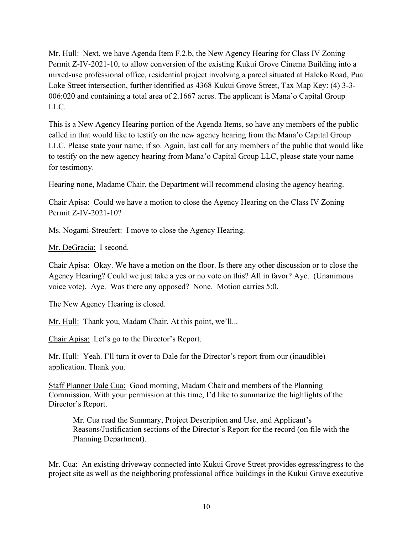Mr. Hull: Next, we have Agenda Item F.2.b, the New Agency Hearing for Class IV Zoning Permit Z-IV-2021-10, to allow conversion of the existing Kukui Grove Cinema Building into a mixed-use professional office, residential project involving a parcel situated at Haleko Road, Pua Loke Street intersection, further identified as 4368 Kukui Grove Street, Tax Map Key: (4) 3-3- 006:020 and containing a total area of 2.1667 acres. The applicant is Mana'o Capital Group LLC.

This is a New Agency Hearing portion of the Agenda Items, so have any members of the public called in that would like to testify on the new agency hearing from the Mana'o Capital Group LLC. Please state your name, if so. Again, last call for any members of the public that would like to testify on the new agency hearing from Mana'o Capital Group LLC, please state your name for testimony.

Hearing none, Madame Chair, the Department will recommend closing the agency hearing.

Chair Apisa: Could we have a motion to close the Agency Hearing on the Class IV Zoning Permit Z-IV-2021-10?

Ms. Nogami-Streufert: I move to close the Agency Hearing.

Mr. DeGracia: I second.

Chair Apisa: Okay. We have a motion on the floor. Is there any other discussion or to close the Agency Hearing? Could we just take a yes or no vote on this? All in favor? Aye. (Unanimous voice vote). Aye. Was there any opposed? None. Motion carries 5:0.

The New Agency Hearing is closed.

Mr. Hull: Thank you, Madam Chair. At this point, we'll...

Chair Apisa: Let's go to the Director's Report.

Mr. Hull: Yeah. I'll turn it over to Dale for the Director's report from our (inaudible) application. Thank you.

Staff Planner Dale Cua: Good morning, Madam Chair and members of the Planning Commission. With your permission at this time, I'd like to summarize the highlights of the Director's Report.

Mr. Cua read the Summary, Project Description and Use, and Applicant's Reasons/Justification sections of the Director's Report for the record (on file with the Planning Department).

Mr. Cua: An existing driveway connected into Kukui Grove Street provides egress/ingress to the project site as well as the neighboring professional office buildings in the Kukui Grove executive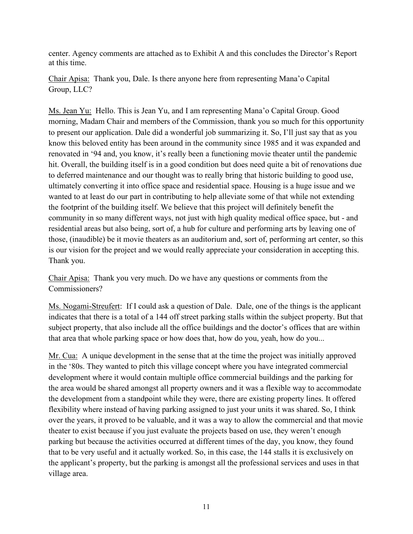center. Agency comments are attached as to Exhibit A and this concludes the Director's Report at this time.

Chair Apisa: Thank you, Dale. Is there anyone here from representing Mana'o Capital Group, LLC?

Ms. Jean Yu: Hello. This is Jean Yu, and I am representing Mana'o Capital Group. Good morning, Madam Chair and members of the Commission, thank you so much for this opportunity to present our application. Dale did a wonderful job summarizing it. So, I'll just say that as you know this beloved entity has been around in the community since 1985 and it was expanded and renovated in '94 and, you know, it's really been a functioning movie theater until the pandemic hit. Overall, the building itself is in a good condition but does need quite a bit of renovations due to deferred maintenance and our thought was to really bring that historic building to good use, ultimately converting it into office space and residential space. Housing is a huge issue and we wanted to at least do our part in contributing to help alleviate some of that while not extending the footprint of the building itself. We believe that this project will definitely benefit the community in so many different ways, not just with high quality medical office space, but - and residential areas but also being, sort of, a hub for culture and performing arts by leaving one of those, (inaudible) be it movie theaters as an auditorium and, sort of, performing art center, so this is our vision for the project and we would really appreciate your consideration in accepting this. Thank you.

Chair Apisa: Thank you very much. Do we have any questions or comments from the Commissioners?

Ms. Nogami-Streufert: If I could ask a question of Dale. Dale, one of the things is the applicant indicates that there is a total of a 144 off street parking stalls within the subject property. But that subject property, that also include all the office buildings and the doctor's offices that are within that area that whole parking space or how does that, how do you, yeah, how do you...

Mr. Cua: A unique development in the sense that at the time the project was initially approved in the '80s. They wanted to pitch this village concept where you have integrated commercial development where it would contain multiple office commercial buildings and the parking for the area would be shared amongst all property owners and it was a flexible way to accommodate the development from a standpoint while they were, there are existing property lines. It offered flexibility where instead of having parking assigned to just your units it was shared. So, I think over the years, it proved to be valuable, and it was a way to allow the commercial and that movie theater to exist because if you just evaluate the projects based on use, they weren't enough parking but because the activities occurred at different times of the day, you know, they found that to be very useful and it actually worked. So, in this case, the 144 stalls it is exclusively on the applicant's property, but the parking is amongst all the professional services and uses in that village area.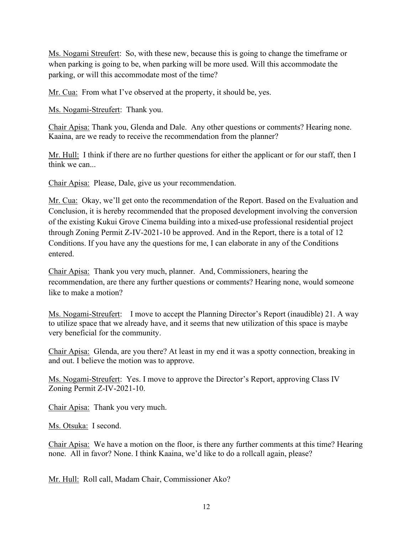Ms. Nogami Streufert: So, with these new, because this is going to change the timeframe or when parking is going to be, when parking will be more used. Will this accommodate the parking, or will this accommodate most of the time?

Mr. Cua: From what I've observed at the property, it should be, yes.

Ms. Nogami-Streufert: Thank you.

Chair Apisa: Thank you, Glenda and Dale. Any other questions or comments? Hearing none. Kaaina, are we ready to receive the recommendation from the planner?

Mr. Hull: I think if there are no further questions for either the applicant or for our staff, then I think we can...

Chair Apisa: Please, Dale, give us your recommendation.

Mr. Cua: Okay, we'll get onto the recommendation of the Report. Based on the Evaluation and Conclusion, it is hereby recommended that the proposed development involving the conversion of the existing Kukui Grove Cinema building into a mixed-use professional residential project through Zoning Permit Z-IV-2021-10 be approved. And in the Report, there is a total of 12 Conditions. If you have any the questions for me, I can elaborate in any of the Conditions entered.

Chair Apisa: Thank you very much, planner. And, Commissioners, hearing the recommendation, are there any further questions or comments? Hearing none, would someone like to make a motion?

Ms. Nogami-Streufert: I move to accept the Planning Director's Report (inaudible) 21. A way to utilize space that we already have, and it seems that new utilization of this space is maybe very beneficial for the community.

Chair Apisa: Glenda, are you there? At least in my end it was a spotty connection, breaking in and out. I believe the motion was to approve.

Ms. Nogami-Streufert: Yes. I move to approve the Director's Report, approving Class IV Zoning Permit Z-IV-2021-10.

Chair Apisa: Thank you very much.

Ms. Otsuka: I second.

Chair Apisa: We have a motion on the floor, is there any further comments at this time? Hearing none. All in favor? None. I think Kaaina, we'd like to do a rollcall again, please?

Mr. Hull: Roll call, Madam Chair, Commissioner Ako?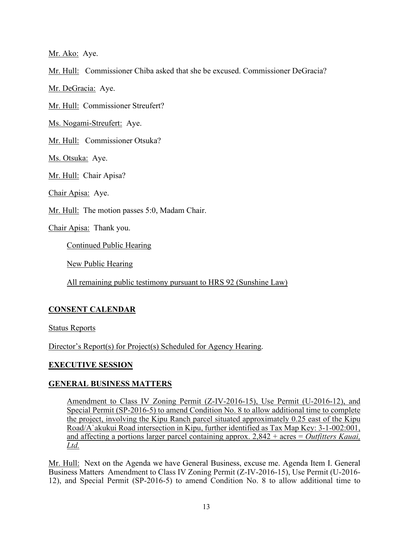Mr. Ako: Aye.

Mr. Hull: Commissioner Chiba asked that she be excused. Commissioner DeGracia?

Mr. DeGracia: Aye.

Mr. Hull: Commissioner Streufert?

Ms. Nogami-Streufert: Aye.

Mr. Hull: Commissioner Otsuka?

Ms. Otsuka: Aye.

Mr. Hull: Chair Apisa?

Chair Apisa: Aye.

Mr. Hull: The motion passes 5:0, Madam Chair.

Chair Apisa: Thank you.

Continued Public Hearing

New Public Hearing

All remaining public testimony pursuant to HRS 92 (Sunshine Law)

# **CONSENT CALENDAR**

Status Reports

Director's Report(s) for Project(s) Scheduled for Agency Hearing.

# **EXECUTIVE SESSION**

# **GENERAL BUSINESS MATTERS**

Amendment to Class IV Zoning Permit (Z-IV-2016-15), Use Permit (U-2016-12), and Special Permit (SP-2016-5) to amend Condition No. 8 to allow additional time to complete the project, involving the Kipu Ranch parcel situated approximately 0.25 east of the Kipu Road/A`akukui Road intersection in Kipu, further identified as Tax Map Key: 3-1-002:001, and affecting a portions larger parcel containing approx. 2,842 + acres = *Outfitters Kauai, Ltd.* 

Mr. Hull: Next on the Agenda we have General Business, excuse me. Agenda Item I. General Business Matters Amendment to Class IV Zoning Permit (Z-IV-2016-15), Use Permit (U-2016- 12), and Special Permit (SP-2016-5) to amend Condition No. 8 to allow additional time to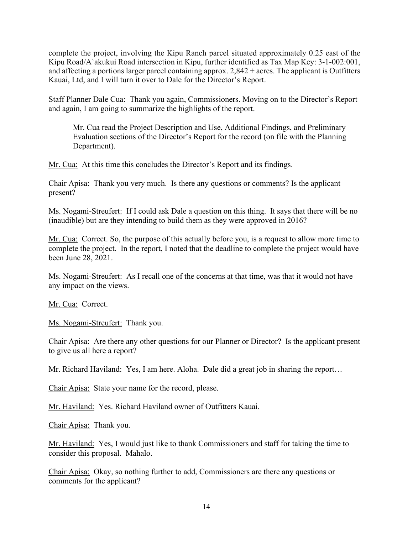complete the project, involving the Kipu Ranch parcel situated approximately 0.25 east of the Kipu Road/A`akukui Road intersection in Kipu, further identified as Tax Map Key: 3-1-002:001, and affecting a portions larger parcel containing approx. 2,842 + acres. The applicant is Outfitters Kauai, Ltd, and I will turn it over to Dale for the Director's Report.

Staff Planner Dale Cua: Thank you again, Commissioners. Moving on to the Director's Report and again, I am going to summarize the highlights of the report.

Mr. Cua read the Project Description and Use, Additional Findings, and Preliminary Evaluation sections of the Director's Report for the record (on file with the Planning Department).

Mr. Cua: At this time this concludes the Director's Report and its findings.

Chair Apisa: Thank you very much. Is there any questions or comments? Is the applicant present?

Ms. Nogami-Streufert: If I could ask Dale a question on this thing. It says that there will be no (inaudible) but are they intending to build them as they were approved in 2016?

Mr. Cua: Correct. So, the purpose of this actually before you, is a request to allow more time to complete the project. In the report, I noted that the deadline to complete the project would have been June 28, 2021.

Ms. Nogami-Streufert: As I recall one of the concerns at that time, was that it would not have any impact on the views.

Mr. Cua: Correct.

Ms. Nogami-Streufert: Thank you.

Chair Apisa: Are there any other questions for our Planner or Director? Is the applicant present to give us all here a report?

Mr. Richard Haviland: Yes, I am here. Aloha. Dale did a great job in sharing the report...

Chair Apisa: State your name for the record, please.

Mr. Haviland: Yes. Richard Haviland owner of Outfitters Kauai.

Chair Apisa: Thank you.

Mr. Haviland: Yes, I would just like to thank Commissioners and staff for taking the time to consider this proposal. Mahalo.

Chair Apisa: Okay, so nothing further to add, Commissioners are there any questions or comments for the applicant?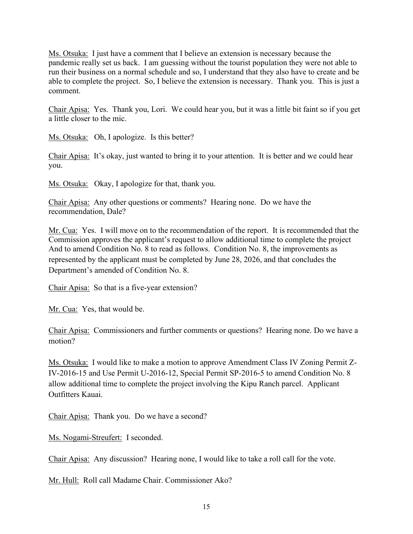Ms. Otsuka: I just have a comment that I believe an extension is necessary because the pandemic really set us back. I am guessing without the tourist population they were not able to run their business on a normal schedule and so, I understand that they also have to create and be able to complete the project. So, I believe the extension is necessary. Thank you. This is just a comment.

Chair Apisa: Yes. Thank you, Lori. We could hear you, but it was a little bit faint so if you get a little closer to the mic.

Ms. Otsuka: Oh, I apologize. Is this better?

Chair Apisa: It's okay, just wanted to bring it to your attention. It is better and we could hear you.

Ms. Otsuka: Okay, I apologize for that, thank you.

Chair Apisa: Any other questions or comments? Hearing none. Do we have the recommendation, Dale?

Mr. Cua: Yes. I will move on to the recommendation of the report. It is recommended that the Commission approves the applicant's request to allow additional time to complete the project And to amend Condition No. 8 to read as follows. Condition No. 8, the improvements as represented by the applicant must be completed by June 28, 2026, and that concludes the Department's amended of Condition No. 8.

Chair Apisa: So that is a five-year extension?

Mr. Cua: Yes, that would be.

Chair Apisa: Commissioners and further comments or questions? Hearing none. Do we have a motion?

Ms. Otsuka: I would like to make a motion to approve Amendment Class IV Zoning Permit Z-IV-2016-15 and Use Permit U-2016-12, Special Permit SP-2016-5 to amend Condition No. 8 allow additional time to complete the project involving the Kipu Ranch parcel. Applicant Outfitters Kauai.

Chair Apisa: Thank you. Do we have a second?

Ms. Nogami-Streufert: I seconded.

Chair Apisa: Any discussion? Hearing none, I would like to take a roll call for the vote.

Mr. Hull: Roll call Madame Chair. Commissioner Ako?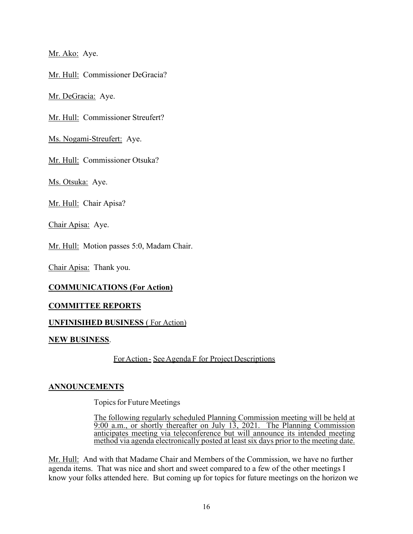Mr. Ako: Aye.

Mr. Hull: Commissioner DeGracia?

Mr. DeGracia: Aye.

Mr. Hull: Commissioner Streufert?

Ms. Nogami-Streufert: Aye.

Mr. Hull: Commissioner Otsuka?

Ms. Otsuka: Aye.

Mr. Hull: Chair Apisa?

Chair Apisa: Aye.

Mr. Hull: Motion passes 5:0, Madam Chair.

Chair Apisa: Thank you.

# **COMMUNICATIONS (For Action)**

#### **COMMITTEE REPORTS**

#### **UNFINISIHED BUSINESS** ( For Action)

#### **NEW BUSINESS**.

ForAction - See Agenda F for Project Descriptions

# **ANNOUNCEMENTS**

Topics for Future Meetings

The following regularly scheduled Planning Commission meeting will be held at 9:00 a.m., or shortly thereafter on July 13, 2021. The Planning Commission anticipates meeting via teleconference but will announce its intended meeting method via agenda electronically posted at least six days prior to the meeting date.

Mr. Hull: And with that Madame Chair and Members of the Commission, we have no further agenda items. That was nice and short and sweet compared to a few of the other meetings I know your folks attended here. But coming up for topics for future meetings on the horizon we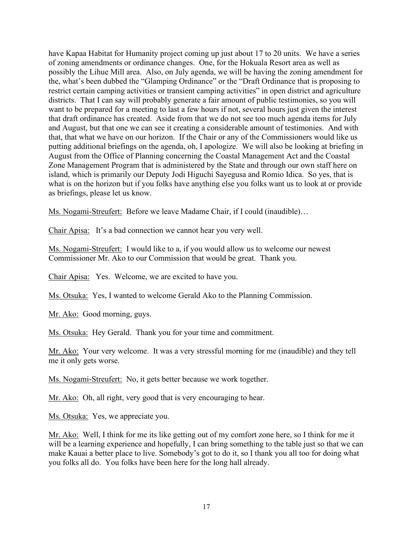have Kapaa Habitat for Humanity project coming up just about 17 to 20 units. We have a series of zoning amendments or ordinance changes. One, for the Hokuala Resort area as well as possibly the Lihue Mill area. Also, on July agenda, we will be having the zoning amendment for the, what's been dubbed the "Glamping Ordinance" or the "Draft Ordinance that is proposing to restrict certain camping activities or transient camping activities" in open district and agriculture districts. That I can say will probably generate a fair amount of public testimonies, so you will want to be prepared for a meeting to last a few hours if not, several hours just given the interest that draft ordinance has created. Aside from that we do not see too much agenda items for July and August, but that one we can see it creating a considerable amount of testimonies. And with that, that what we have on our horizon. If the Chair or any of the Commissioners would like us putting additional briefings on the agenda, oh, I apologize. We will also be looking at briefing in August from the Office of Planning concerning the Coastal Management Act and the Coastal Zone Management Program that is administered by the State and through our own staff here on island, which is primarily our Deputy Jodi Higuchi Sayegusa and Romio Idica. So yes, that is what is on the horizon but if you folks have anything else you folks want us to look at or provide as briefings, please let us know.

Ms. Nogami-Streufert: Before we leave Madame Chair, if I could (inaudible)…

Chair Apisa: It's a bad connection we cannot hear you very well.

Ms. Nogami-Streufert: I would like to a, if you would allow us to welcome our newest Commissioner Mr. Ako to our Commission that would be great. Thank you.

Chair Apisa: Yes. Welcome, we are excited to have you.

Ms. Otsuka: Yes, I wanted to welcome Gerald Ako to the Planning Commission.

Mr. Ako: Good morning, guys.

Ms. Otsuka: Hey Gerald. Thank you for your time and commitment.

Mr. Ako: Your very welcome. It was a very stressful morning for me (inaudible) and they tell me it only gets worse.

Ms. Nogami-Streufert: No, it gets better because we work together.

Mr. Ako: Oh, all right, very good that is very encouraging to hear.

Ms. Otsuka: Yes, we appreciate you.

Mr. Ako: Well, I think for me its like getting out of my comfort zone here, so I think for me it will be a learning experience and hopefully, I can bring something to the table just so that we can make Kauai a better place to live. Somebody's got to do it, so I thank you all too for doing what you folks all do. You folks have been here for the long hall already.